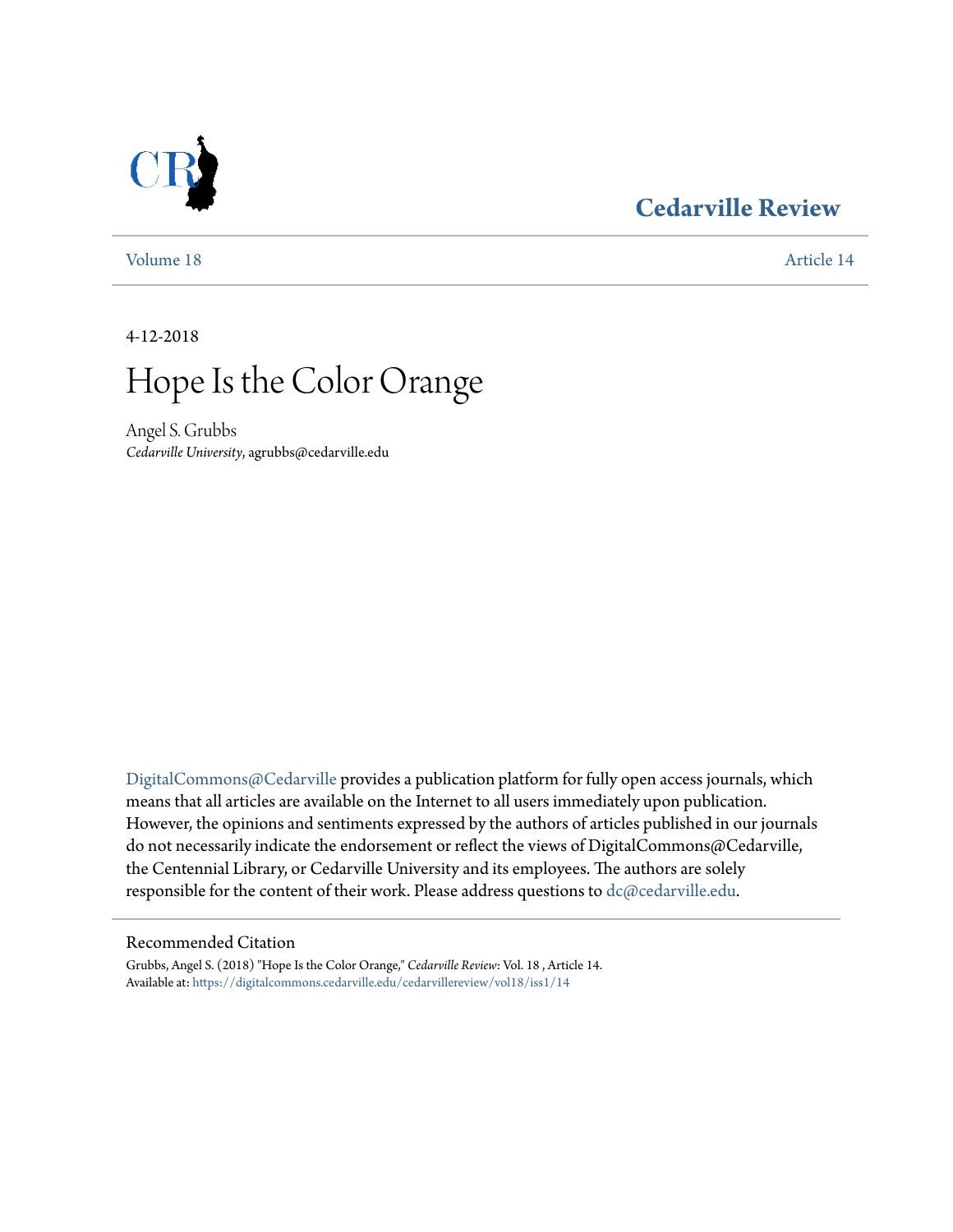### **[Cedarville Review](https://digitalcommons.cedarville.edu/cedarvillereview?utm_source=digitalcommons.cedarville.edu%2Fcedarvillereview%2Fvol18%2Fiss1%2F14&utm_medium=PDF&utm_campaign=PDFCoverPages)**



[Volume 18](https://digitalcommons.cedarville.edu/cedarvillereview/vol18?utm_source=digitalcommons.cedarville.edu%2Fcedarvillereview%2Fvol18%2Fiss1%2F14&utm_medium=PDF&utm_campaign=PDFCoverPages) [Article 14](https://digitalcommons.cedarville.edu/cedarvillereview/vol18/iss1/14?utm_source=digitalcommons.cedarville.edu%2Fcedarvillereview%2Fvol18%2Fiss1%2F14&utm_medium=PDF&utm_campaign=PDFCoverPages)

4-12-2018

# Hope Is the Color Orange

Angel S. Grubbs *Cedarville University*, agrubbs@cedarville.edu

[DigitalCommons@Cedarville](http://digitalcommons.cedarville.edu/) provides a publication platform for fully open access journals, which means that all articles are available on the Internet to all users immediately upon publication. However, the opinions and sentiments expressed by the authors of articles published in our journals do not necessarily indicate the endorsement or reflect the views of DigitalCommons@Cedarville, the Centennial Library, or Cedarville University and its employees. The authors are solely responsible for the content of their work. Please address questions to [dc@cedarville.edu](mailto:dc@cedarville.edu).

#### Recommended Citation

Grubbs, Angel S. (2018) "Hope Is the Color Orange," *Cedarville Review*: Vol. 18 , Article 14. Available at: [https://digitalcommons.cedarville.edu/cedarvillereview/vol18/iss1/14](https://digitalcommons.cedarville.edu/cedarvillereview/vol18/iss1/14?utm_source=digitalcommons.cedarville.edu%2Fcedarvillereview%2Fvol18%2Fiss1%2F14&utm_medium=PDF&utm_campaign=PDFCoverPages)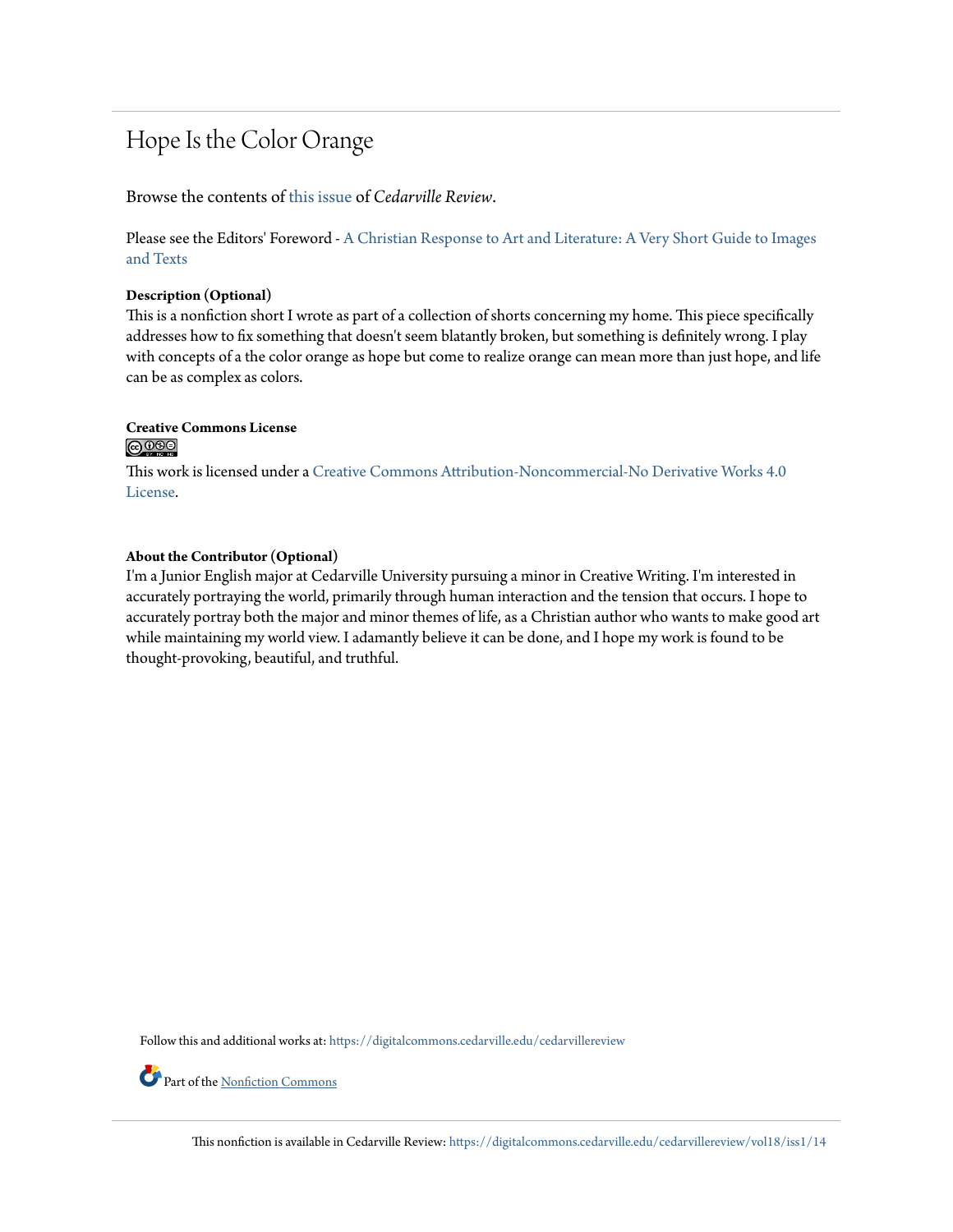### Hope Is the Color Orange

Browse the contents of [this issue](https://digitalcommons.cedarville.edu/cedarvillereview/vol18/iss1) of *Cedarville Review*.

Please see the Editors' Foreword - [A Christian Response to Art and Literature: A Very Short Guide to Images](http://digitalcommons.cedarville.edu/cedarvillereview/vol18/iss1/1/) [and Texts](http://digitalcommons.cedarville.edu/cedarvillereview/vol18/iss1/1/)

#### **Description (Optional)**

This is a nonfiction short I wrote as part of a collection of shorts concerning my home. This piece specifically addresses how to fix something that doesn't seem blatantly broken, but something is definitely wrong. I play with concepts of a the color orange as hope but come to realize orange can mean more than just hope, and life can be as complex as colors.

### **Creative Commons License**

#### <u>@0®0</u>

This work is licensed under a [Creative Commons Attribution-Noncommercial-No Derivative Works 4.0](http://creativecommons.org/licenses/by-nc-nd/4.0/) [License.](http://creativecommons.org/licenses/by-nc-nd/4.0/)

#### **About the Contributor (Optional)**

I'm a Junior English major at Cedarville University pursuing a minor in Creative Writing. I'm interested in accurately portraying the world, primarily through human interaction and the tension that occurs. I hope to accurately portray both the major and minor themes of life, as a Christian author who wants to make good art while maintaining my world view. I adamantly believe it can be done, and I hope my work is found to be thought-provoking, beautiful, and truthful.

Follow this and additional works at: [https://digitalcommons.cedarville.edu/cedarvillereview](https://digitalcommons.cedarville.edu/cedarvillereview?utm_source=digitalcommons.cedarville.edu%2Fcedarvillereview%2Fvol18%2Fiss1%2F14&utm_medium=PDF&utm_campaign=PDFCoverPages)

Part of the [Nonfiction Commons](http://network.bepress.com/hgg/discipline/1152?utm_source=digitalcommons.cedarville.edu%2Fcedarvillereview%2Fvol18%2Fiss1%2F14&utm_medium=PDF&utm_campaign=PDFCoverPages)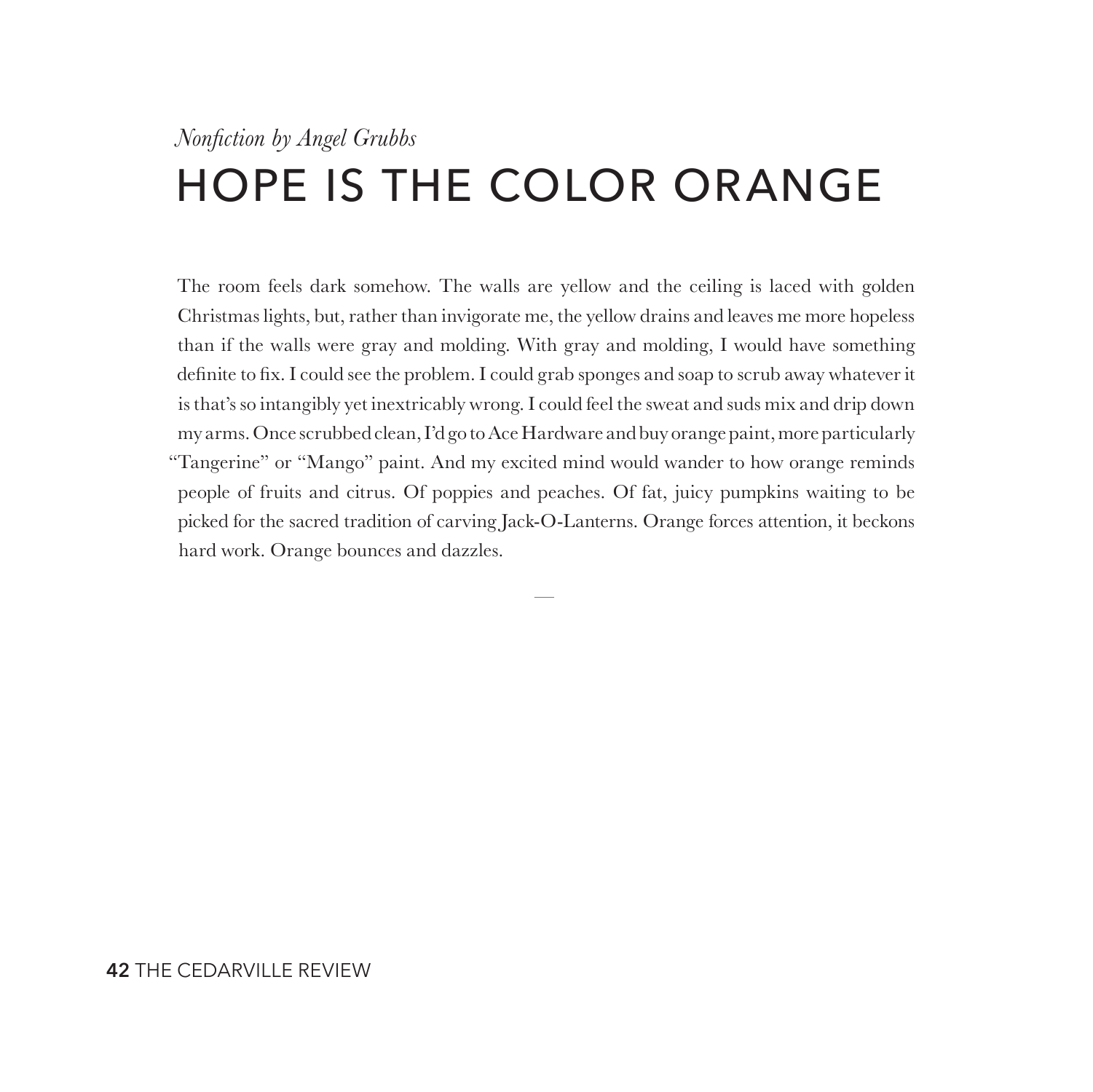## *Nonfiction by Angel Grubbs* HOPE IS THE COLOR ORANGE

The room feels dark somehow. The walls are yellow and the ceiling is laced with golden Christmas lights, but, rather than invigorate me, the yellow drains and leaves me more hopeless than if the walls were gray and molding. With gray and molding, I would have something definite to fix. I could see the problem. I could grab sponges and soap to scrub away whatever it is that's so intangibly yet inextricably wrong. I could feel the sweat and suds mix and drip down my arms. Once scrubbed clean, I'd go to Ace Hardware and buy orange paint, more particularly "Tangerine" or "Mango" paint. And my excited mind would wander to how orange reminds people of fruits and citrus. Of poppies and peaches. Of fat, juicy pumpkins waiting to be picked for the sacred tradition of carving Jack-O-Lanterns. Orange forces attention, it beckons hard work. Orange bounces and dazzles.

—